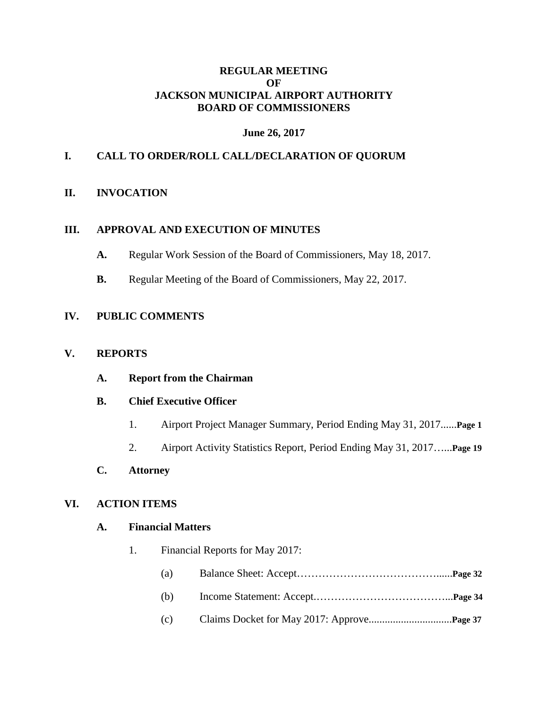### **REGULAR MEETING OF JACKSON MUNICIPAL AIRPORT AUTHORITY BOARD OF COMMISSIONERS**

## **June 26, 2017**

### **I. CALL TO ORDER/ROLL CALL/DECLARATION OF QUORUM**

#### **II. INVOCATION**

#### **III. APPROVAL AND EXECUTION OF MINUTES**

- **A.** Regular Work Session of the Board of Commissioners, May 18, 2017.
- **B.** Regular Meeting of the Board of Commissioners, May 22, 2017.

## **IV. PUBLIC COMMENTS**

#### **V. REPORTS**

**A. Report from the Chairman**

#### **B. Chief Executive Officer**

- 1. Airport Project Manager Summary, Period Ending May 31, 2017......**Page 1**
- 2. Airport Activity Statistics Report, Period Ending May 31, 2017…...**Page 19**
- **C. Attorney**

#### **VI. ACTION ITEMS**

#### **A. Financial Matters**

- 1. Financial Reports for May 2017:
	- (a) Balance Sheet: Accept…………………………………......**Page 32**
	- (b) Income Statement: Accept.………………………………...**Page 34**
	- (c) Claims Docket for May 2017: Approve...............................**Page 37**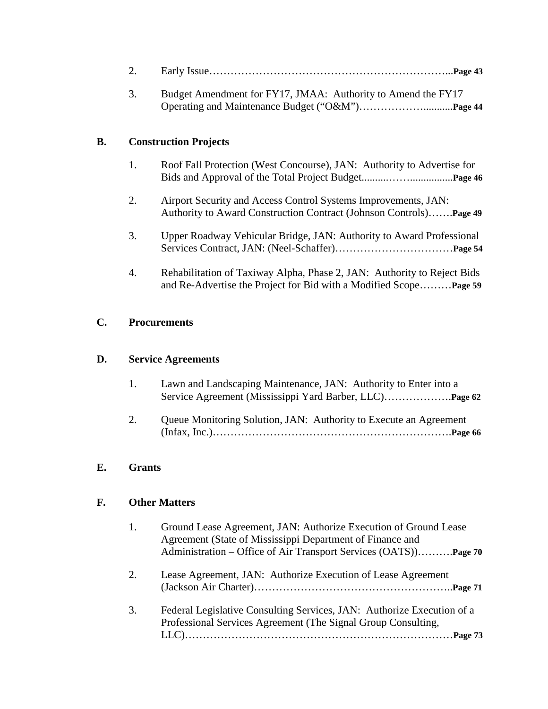| 3.                              | Budget Amendment for FY17, JMAA: Authority to Amend the FY17 |
|---------------------------------|--------------------------------------------------------------|
| <b>B.</b> Construction Projects |                                                              |

- 1. Roof Fall Protection (West Concourse), JAN: Authority to Advertise for Bids and Approval of the Total Project Budget..........……................**Page 46**
- 2. Airport Security and Access Control Systems Improvements, JAN: Authority to Award Construction Contract (Johnson Controls)…….**Page 49**
- 3. Upper Roadway Vehicular Bridge, JAN: Authority to Award Professional Services Contract, JAN: (Neel-Schaffer)……………………………**Page 54**
- 4. Rehabilitation of Taxiway Alpha, Phase 2, JAN: Authority to Reject Bids and Re-Advertise the Project for Bid with a Modified Scope………**Page 59**

## **C. Procurements**

## **D. Service Agreements**

- 1. Lawn and Landscaping Maintenance, JAN: Authority to Enter into a Service Agreement (Mississippi Yard Barber, LLC)……………….**Page 62**
- 2. Queue Monitoring Solution, JAN: Authority to Execute an Agreement (Infax, Inc.)………………………………………………………….**Page 66**

## **E. Grants**

## **F. Other Matters**

| 1. | Ground Lease Agreement, JAN: Authorize Execution of Ground Lease<br>Agreement (State of Mississippi Department of Finance and<br>Administration – Office of Air Transport Services (OATS)Page 70 |
|----|--------------------------------------------------------------------------------------------------------------------------------------------------------------------------------------------------|
| 2. | Lease Agreement, JAN: Authorize Execution of Lease Agreement                                                                                                                                     |
| 3. | Federal Legislative Consulting Services, JAN: Authorize Execution of a<br>Professional Services Agreement (The Signal Group Consulting,                                                          |

LLC)…………………………………………………………………**Page 73**